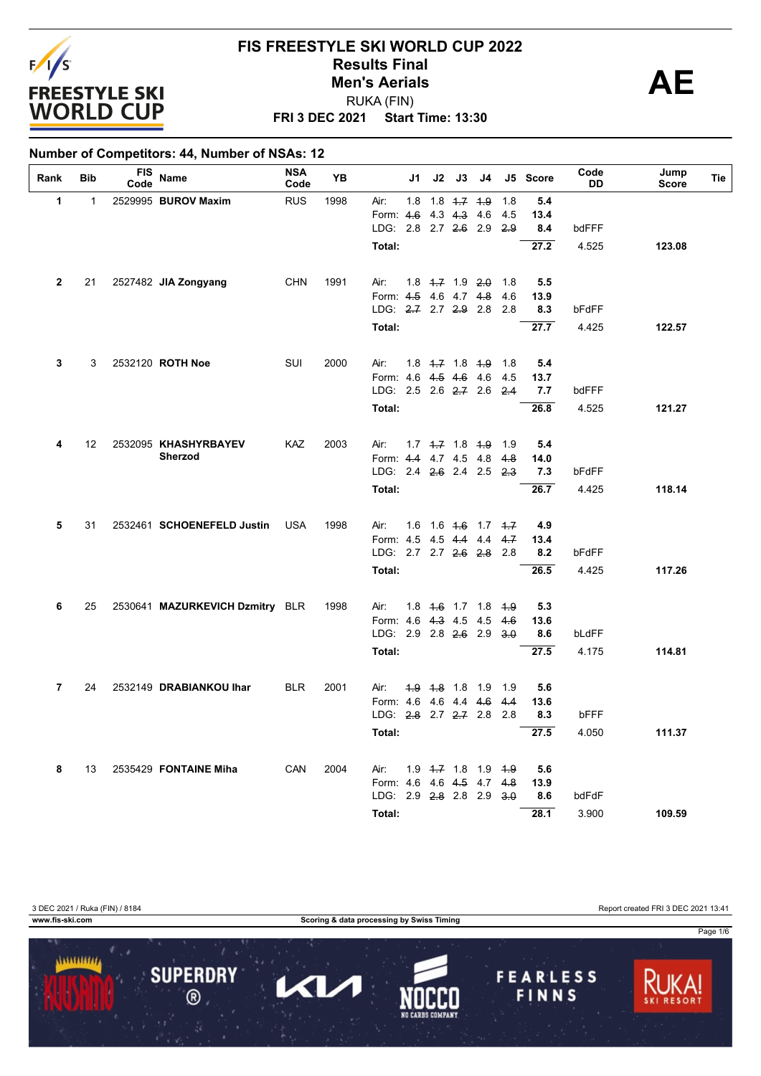

## **FRI 3 DEC 2021 Start Time: 13:30 FIS FREESTYLE SKI WORLD CUP 2022 Results Final AE** RUKA (FIN) **Men's Aerials**

#### **Number of Competitors: 44, Number of NSAs: 12**

| Rank         | Bib         | <b>FIS</b><br>Code | Name                            | <b>NSA</b><br>Code | YB   | J1                              | J2                        | J3            | J4   |        | J5 Score  | Code<br><b>DD</b> | Jump<br><b>Score</b> | Tie |
|--------------|-------------|--------------------|---------------------------------|--------------------|------|---------------------------------|---------------------------|---------------|------|--------|-----------|-------------------|----------------------|-----|
| 1            | $\mathbf 1$ |                    | 2529995 BUROV Maxim             | <b>RUS</b>         | 1998 | Air:<br>1.8                     |                           | $1.8$ 4.7 4.9 |      | 1.8    | 5.4       |                   |                      |     |
|              |             |                    |                                 |                    |      | Form: 4.6                       |                           | $4.3 + 4.3$   | -4.6 | 4.5    | 13.4      |                   |                      |     |
|              |             |                    |                                 |                    |      | LDG: 2.8 2.7 <del>2.6</del> 2.9 |                           |               |      | 2.9    | 8.4       | bdFFF             |                      |     |
|              |             |                    |                                 |                    |      | Total:                          |                           |               |      |        | 27.2      | 4.525             | 123.08               |     |
| $\mathbf{2}$ | 21          |                    | 2527482 JIA Zongyang            | <b>CHN</b>         | 1991 | Air:                            | $1.8$ $4.7$ $1.9$ $2.0$   |               |      | - 1.8  | 5.5       |                   |                      |     |
|              |             |                    |                                 |                    |      | Form: 4.5                       |                           | 4.6 4.7 4.8   |      | 4.6    | 13.9      |                   |                      |     |
|              |             |                    |                                 |                    |      | LDG: 2.7 2.7 2.9 2.8            |                           |               |      | 2.8    | 8.3       | bFdFF             |                      |     |
|              |             |                    |                                 |                    |      | Total:                          |                           |               |      |        | 27.7      | 4.425             | 122.57               |     |
| 3            | 3           |                    | 2532120 ROTH Noe                | <b>SUI</b>         | 2000 | Air:                            | $1.8$ 4.7 1.8 4.9         |               |      | 1.8    | 5.4       |                   |                      |     |
|              |             |                    |                                 |                    |      | Form: 4.6 4.5 4.6 4.6           |                           |               |      | 4.5    | 13.7      |                   |                      |     |
|              |             |                    |                                 |                    |      | LDG: 2.5 2.6 2.7 2.6 2.4        |                           |               |      |        | 7.7       | bdFFF             |                      |     |
|              |             |                    |                                 |                    |      | <b>Total:</b>                   |                           |               |      |        | 26.8      | 4.525             | 121.27               |     |
| 4            | 12          |                    | 2532095 KHASHYRBAYEV            | <b>KAZ</b>         | 2003 | Air:                            | $1.7$ $4.7$ $1.8$ $4.9$   |               |      | - 1.9  | 5.4       |                   |                      |     |
|              |             |                    | Sherzod                         |                    |      | Form: 4.4 4.7 4.5 4.8           |                           |               |      | 4.8    | 14.0      |                   |                      |     |
|              |             |                    |                                 |                    |      | LDG: 2.4 2.6 2.4 2.5 2.3        |                           |               |      |        | 7.3       | bFdFF             |                      |     |
|              |             |                    |                                 |                    |      | Total:                          |                           |               |      |        | 26.7      | 4.425             | 118.14               |     |
| 5            | 31          |                    | 2532461 SCHOENEFELD Justin      | <b>USA</b>         | 1998 | Air:                            | $1.6$ 1.6 $4.6$ 1.7 $4.7$ |               |      |        | 4.9       |                   |                      |     |
|              |             |                    |                                 |                    |      | Form: 4.5 4.5 4.4 4.4           |                           |               |      | 4.7    | 13.4      |                   |                      |     |
|              |             |                    |                                 |                    |      | LDG: 2.7 2.7 2.6 2.8 2.8        |                           |               |      |        | $\bf 8.2$ | bFdFF             |                      |     |
|              |             |                    |                                 |                    |      | Total:                          |                           |               |      |        | 26.5      | 4.425             | 117.26               |     |
| 6            | 25          |                    | 2530641 MAZURKEVICH Dzmitry BLR |                    | 1998 | Air:                            | $1.8$ $4.6$ $1.7$ $1.8$   |               |      | $-4.9$ | 5.3       |                   |                      |     |
|              |             |                    |                                 |                    |      | Form: 4.6 4.3 4.5 4.5           |                           |               |      | -4.6   | 13.6      |                   |                      |     |
|              |             |                    |                                 |                    |      | LDG: 2.9 2.8 2.6 2.9            |                           |               |      | 3.0    | 8.6       | bLdFF             |                      |     |
|              |             |                    |                                 |                    |      | Total:                          |                           |               |      |        | 27.5      | 4.175             | 114.81               |     |
| 7            | 24          |                    | 2532149 DRABIANKOU Ihar         | <b>BLR</b>         | 2001 | Air:                            | 4.9 4.8 1.8 1.9           |               |      | 1.9    | 5.6       |                   |                      |     |
|              |             |                    |                                 |                    |      | Form: 4.6 4.6 4.4 4.6           |                           |               |      | 4.4    | 13.6      |                   |                      |     |
|              |             |                    |                                 |                    |      | LDG: 2.8 2.7 2.7 2.8 2.8        |                           |               |      |        | 8.3       | bFFF              |                      |     |
|              |             |                    |                                 |                    |      | Total:                          |                           |               |      |        | 27.5      | 4.050             | 111.37               |     |
| 8            | 13          |                    | 2535429 FONTAINE Miha           | CAN                | 2004 | Air:                            | $1.9$ $1.7$ $1.8$ $1.9$   |               |      | 4.9    | 5.6       |                   |                      |     |
|              |             |                    |                                 |                    |      | Form: 4.6                       | 4645                      |               | 4.7  | 4.8    | 13.9      |                   |                      |     |
|              |             |                    |                                 |                    |      | LDG: 2.9 2.8 2.8 2.9            |                           |               |      | 3.0    | 8.6       | bdFdF             |                      |     |
|              |             |                    |                                 |                    |      | Total:                          |                           |               |      |        | 28.1      | 3.900             | 109.59               |     |

3 DEC 2021 / Ruka (FIN) / 8184 Report created FRI 3 DEC 2021 13:41

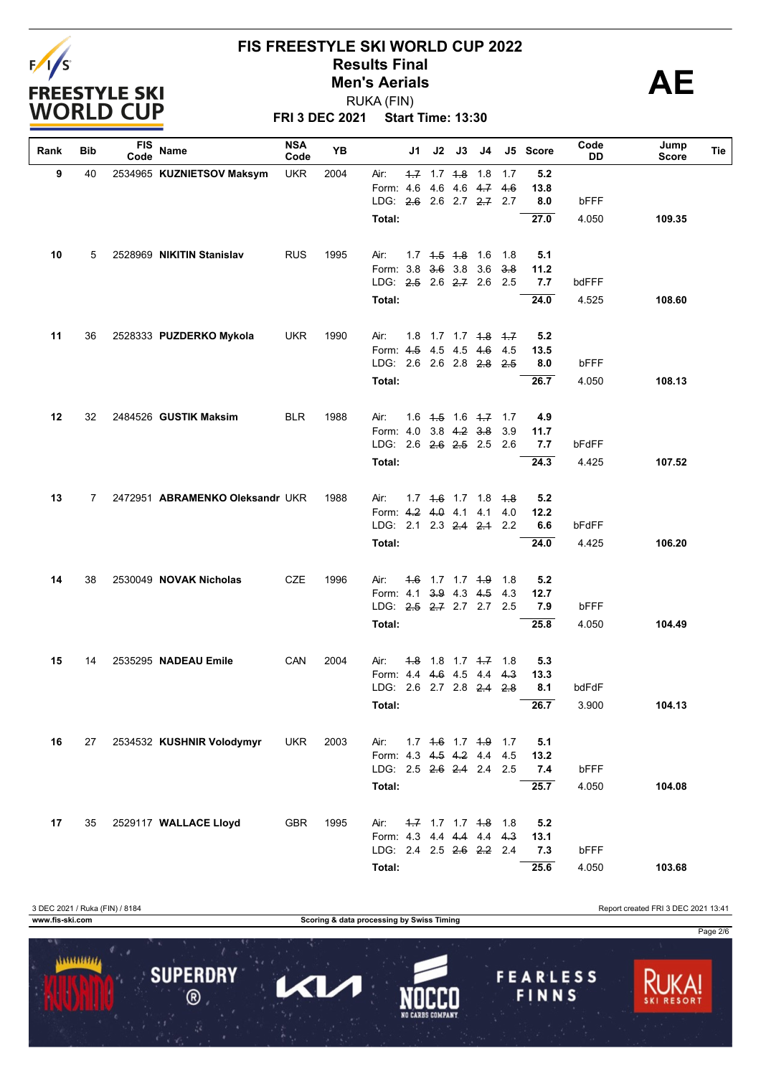

**FRI 3 DEC 2021 Start Time: 13:30**

| Rank | Bib          | <b>FIS</b><br>Code | Name                            | <b>NSA</b><br>Code | YB   |                           | J1  | J2            | J3                      | J4                                    |       | J5 Score | Code<br>DD | Jump<br>Score | Tie |
|------|--------------|--------------------|---------------------------------|--------------------|------|---------------------------|-----|---------------|-------------------------|---------------------------------------|-------|----------|------------|---------------|-----|
| 9    | 40           |                    | 2534965 KUZNIETSOV Maksym       | <b>UKR</b>         | 2004 | Air:                      |     | $1.7$ 1.7 1.8 |                         | 1.8                                   | 1.7   | 5.2      |            |               |     |
|      |              |                    |                                 |                    |      | Form: 4.6                 |     |               | 4.6 4.6                 | 4.7                                   | 4.6   | 13.8     |            |               |     |
|      |              |                    |                                 |                    |      | LDG: 2.6 2.6 2.7 2.7 2.7  |     |               |                         |                                       |       | 8.0      | bFFF       |               |     |
|      |              |                    |                                 |                    |      | Total:                    |     |               |                         |                                       |       | 27.0     | 4.050      | 109.35        |     |
| 10   | 5            |                    | 2528969 NIKITIN Stanislav       | <b>RUS</b>         | 1995 | Air:                      |     |               | $1.7$ $1.5$ $1.8$ $1.6$ |                                       | - 1.8 | 5.1      |            |               |     |
|      |              |                    |                                 |                    |      | Form: 3.8                 |     | $3.6$ 3.8     |                         | 3.6                                   | 3.8   | 11.2     |            |               |     |
|      |              |                    |                                 |                    |      | LDG 2.5 2.6 2.7 2.6       |     |               |                         |                                       | 2.5   | 7.7      | bdFFF      |               |     |
|      |              |                    |                                 |                    |      | <b>Total:</b>             |     |               |                         |                                       |       | 24.0     | 4.525      | 108.60        |     |
| 11   | 36           |                    | 2528333 PUZDERKO Mykola         | <b>UKR</b>         | 1990 | Air:                      |     |               |                         | 1.8 1.7 1.7 <del>1.8</del> 1.7        |       | 5.2      |            |               |     |
|      |              |                    |                                 |                    |      | Form: 4.5 4.5 4.5 4.6 4.5 |     |               |                         |                                       |       | 13.5     |            |               |     |
|      |              |                    |                                 |                    |      | LDG: 2.6 2.6 2.8 2.8 2.5  |     |               |                         |                                       |       | 8.0      | bFFF       |               |     |
|      |              |                    |                                 |                    |      | Total:                    |     |               |                         |                                       |       | 26.7     | 4.050      | 108.13        |     |
| 12   | 32           |                    | 2484526 GUSTIK Maksim           | <b>BLR</b>         | 1988 | Air:                      | 1.6 |               |                         | 4.5 1.6 4.7 1.7                       |       | 4.9      |            |               |     |
|      |              |                    |                                 |                    |      | Form: 4.0                 |     |               | $3.8$ 4.2 $3.8$         |                                       | 3.9   | 11.7     |            |               |     |
|      |              |                    |                                 |                    |      | LDG: 2.6 2.6 2.5 2.5      |     |               |                         |                                       | 2.6   | 7.7      | bFdFF      |               |     |
|      |              |                    |                                 |                    |      | Total:                    |     |               |                         |                                       |       | 24.3     | 4.425      | 107.52        |     |
| 13   | $\mathbf{7}$ |                    | 2472951 ABRAMENKO Oleksandr UKR |                    | 1988 | Air:                      |     |               |                         | 1.7 4.6 1.7 1.8 4.8                   |       | 5.2      |            |               |     |
|      |              |                    |                                 |                    |      | Form: 4.2 4.0 4.1         |     |               |                         | 4.1                                   | 4.0   | 12.2     |            |               |     |
|      |              |                    |                                 |                    |      | LDG: 2.1 2.3 2.4 2.1 2.2  |     |               |                         |                                       |       | 6.6      | bFdFF      |               |     |
|      |              |                    |                                 |                    |      | Total:                    |     |               |                         |                                       |       | 24.0     | 4.425      | 106.20        |     |
| 14   | 38           |                    | 2530049 NOVAK Nicholas          | <b>CZE</b>         | 1996 | Air:                      | 4.6 |               | 1.7 1.7 4.9             |                                       | - 1.8 | 5.2      |            |               |     |
|      |              |                    |                                 |                    |      | Form: 4.1                 |     |               | $3.9$ 4.3 4.5           |                                       | 4.3   | 12.7     |            |               |     |
|      |              |                    |                                 |                    |      | LDG: 2.5 2.7 2.7 2.7 2.5  |     |               |                         |                                       |       | 7.9      | bFFF       |               |     |
|      |              |                    |                                 |                    |      | Total:                    |     |               |                         |                                       |       | 25.8     | 4.050      | 104.49        |     |
| 15   | 14           |                    | 2535295 NADEAU Emile            | CAN                | 2004 | Air:                      |     |               |                         | <del>1.8</del> 1.8 1.7 <del>1.7</del> | - 1.8 | 5.3      |            |               |     |
|      |              |                    |                                 |                    |      | Form: 4.4 4.6 4.5         |     |               |                         | 4.4                                   | 4.3   | 13.3     |            |               |     |
|      |              |                    |                                 |                    |      | LDG: 2.6 2.7 2.8 2.4      |     |               |                         |                                       | 2.8   | 8.1      | bdFdF      |               |     |
|      |              |                    |                                 |                    |      | Total:                    |     |               |                         |                                       |       | 26.7     | 3.900      | 104.13        |     |
| 16   | 27           |                    | 2534532 KUSHNIR Volodymyr       | UKR                | 2003 | Air:                      |     |               |                         | $1.7$ $4.6$ $1.7$ $4.9$ $1.7$         |       | 5.1      |            |               |     |
|      |              |                    |                                 |                    |      | Form: 4.3 4.5 4.2 4.4 4.5 |     |               |                         |                                       |       | 13.2     |            |               |     |
|      |              |                    |                                 |                    |      | LDG: 2.5 2.6 2.4 2.4 2.5  |     |               |                         |                                       |       | 7.4      | bFFF       |               |     |
|      |              |                    |                                 |                    |      | Total:                    |     |               |                         |                                       |       | 25.7     | 4.050      | 104.08        |     |
| 17   | 35           |                    | 2529117 WALLACE Lloyd           | <b>GBR</b>         | 1995 | Air:                      |     |               |                         | 4.7 1.7 1.7 4.8 1.8                   |       | 5.2      |            |               |     |
|      |              |                    |                                 |                    |      | Form: 4.3 4.4 4.4 4.4 4.3 |     |               |                         |                                       |       | 13.1     |            |               |     |
|      |              |                    |                                 |                    |      | LDG: 2.4 2.5 2.6 2.2 2.4  |     |               |                         |                                       |       | 7.3      | bFFF       |               |     |
|      |              |                    |                                 |                    |      | Total:                    |     |               |                         |                                       |       | 25.6     | 4.050      | 103.68        |     |

3 DEC 2021 / Ruka (FIN) / 8184 Report created FRI 3 DEC 2021 13:41 **www.fis-ski.com Scoring & data processing by Swiss Timing** Page 2/61111111111 **SUPERDRY FEARLESS** 7  $\blacktriangleleft$  $\overline{\circ}$ FINNS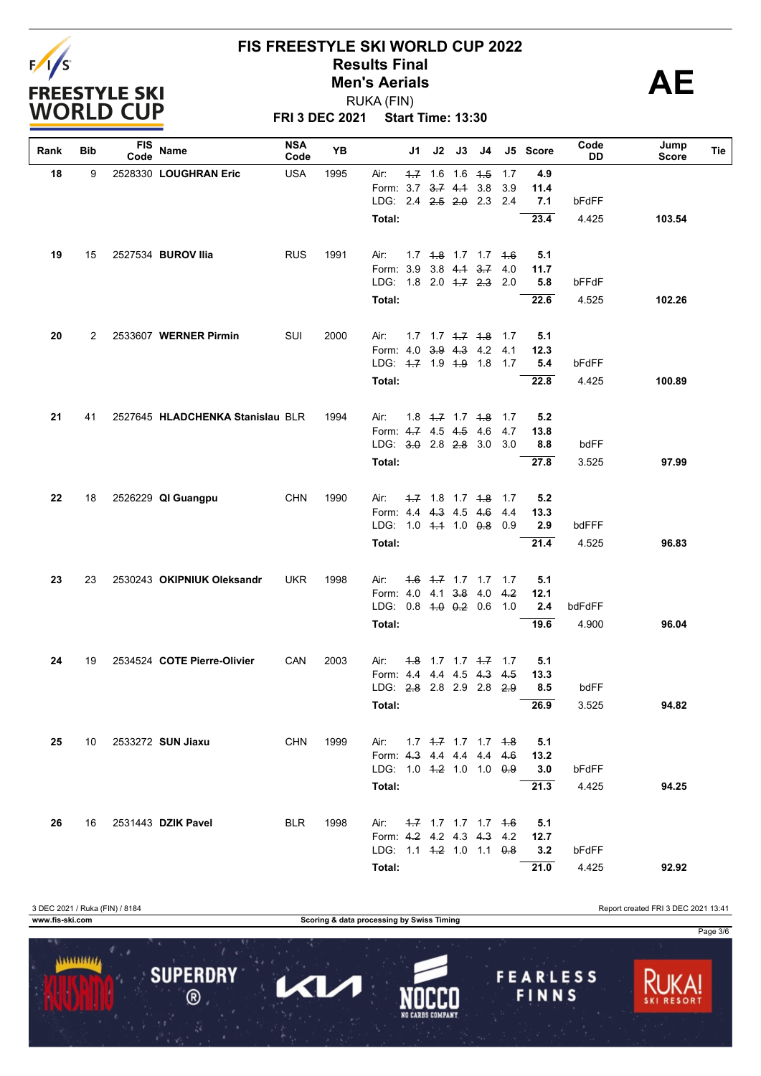

**FRI 3 DEC 2021 Start Time: 13:30**

| Rank | Bib | FIS<br>Code | Name                             | <b>NSA</b><br>Code | <b>YB</b> |                                                       | J1  | J2 | J3                      | J4                             |     | J5 Score    | Code<br>DD | Jump<br><b>Score</b> | Tie |
|------|-----|-------------|----------------------------------|--------------------|-----------|-------------------------------------------------------|-----|----|-------------------------|--------------------------------|-----|-------------|------------|----------------------|-----|
| 18   | 9   |             | 2528330 LOUGHRAN Eric            | <b>USA</b>         | 1995      | Air:                                                  |     |    | $1.7$ 1.6 1.6 $1.5$     |                                | 1.7 | 4.9         |            |                      |     |
|      |     |             |                                  |                    |           | Form: 3.7 3.7 4.1                                     |     |    |                         | 3.8                            | 3.9 | 11.4        |            |                      |     |
|      |     |             |                                  |                    |           | LDG: 2.4 2.5 2.0 2.3                                  |     |    |                         |                                | 2.4 | 7.1         | bFdFF      |                      |     |
|      |     |             |                                  |                    |           | Total:                                                |     |    |                         |                                |     | 23.4        | 4.425      | 103.54               |     |
|      |     |             |                                  |                    |           |                                                       |     |    |                         |                                |     |             |            |                      |     |
| 19   | 15  |             | 2527534 BUROV Ilia               | <b>RUS</b>         | 1991      | Air:                                                  |     |    |                         | 1.7 4.8 1.7 1.7 4.6            |     | 5.1         |            |                      |     |
|      |     |             |                                  |                    |           | Form: 3.9                                             |     |    | $3.8$ 4.1 $3.7$         |                                | 4.0 | 11.7        |            |                      |     |
|      |     |             |                                  |                    |           | LDG: 1.8 2.0 4.7 2.3                                  |     |    |                         |                                | 2.0 | 5.8         | bFFdF      |                      |     |
|      |     |             |                                  |                    |           | Total:                                                |     |    |                         |                                |     | 22.6        | 4.525      | 102.26               |     |
|      |     |             |                                  |                    |           |                                                       |     |    |                         |                                |     |             |            |                      |     |
| 20   | 2   |             | 2533607 WERNER Pirmin            | SUI                | 2000      | Air:                                                  |     |    |                         | 1.7 1.7 <del>1.7</del> 1.8 1.7 |     | 5.1         |            |                      |     |
|      |     |             |                                  |                    |           | Form: 4.0                                             |     |    | $3.9$ 4.3 4.2           |                                | 4.1 | 12.3        |            |                      |     |
|      |     |             |                                  |                    |           | LDG: 4.7 1.9 4.9 1.8                                  |     |    |                         |                                | 1.7 | 5.4         | bFdFF      |                      |     |
|      |     |             |                                  |                    |           | Total:                                                |     |    |                         |                                |     | 22.8        | 4.425      | 100.89               |     |
|      |     |             |                                  |                    |           |                                                       |     |    |                         |                                |     |             |            |                      |     |
| 21   | 41  |             | 2527645 HLADCHENKA Stanislau BLR |                    | 1994      | Air:                                                  |     |    | $1.8$ $1.7$ $1.7$ $1.8$ |                                | 1.7 | 5.2         |            |                      |     |
|      |     |             |                                  |                    |           | Form: 4.7 4.5 4.5 4.6                                 |     |    |                         |                                | 4.7 | 13.8        |            |                      |     |
|      |     |             |                                  |                    |           | LDG: 3.0 2.8 2.8 3.0                                  |     |    |                         |                                | 3.0 | 8.8         | bdFF       |                      |     |
|      |     |             |                                  |                    |           | Total:                                                |     |    |                         |                                |     | 27.8        | 3.525      | 97.99                |     |
|      |     |             |                                  |                    |           |                                                       |     |    |                         |                                |     |             |            |                      |     |
| 22   | 18  |             | 2526229 QI Guangpu               | <b>CHN</b>         | 1990      | Air:                                                  |     |    |                         | 4.7 1.8 1.7 4.8 1.7            |     | 5.2         |            |                      |     |
|      |     |             |                                  |                    |           | Form: 4.4 4.3 4.5 4.6                                 |     |    |                         |                                | 4.4 | 13.3        |            |                      |     |
|      |     |             |                                  |                    |           | LDG: 1.0 4.4 1.0 0.8                                  |     |    |                         |                                | 0.9 | 2.9         | bdFFF      |                      |     |
|      |     |             |                                  |                    |           | Total:                                                |     |    |                         |                                |     | 21.4        | 4.525      | 96.83                |     |
|      |     |             |                                  |                    |           |                                                       |     |    |                         |                                |     |             |            |                      |     |
| 23   | 23  |             | 2530243 OKIPNIUK Oleksandr       | <b>UKR</b>         | 1998      | Air:                                                  |     |    |                         | 4.6 4.7 1.7 1.7 1.7            |     | 5.1         |            |                      |     |
|      |     |             |                                  |                    |           | Form: 4.0 4.1 3.8                                     |     |    |                         | 4.0                            | 4.2 | 12.1        |            |                      |     |
|      |     |             |                                  |                    |           | LDG: 0.8 4.0 0.2 0.6                                  |     |    |                         |                                | 1.0 | 2.4         | bdFdFF     |                      |     |
|      |     |             |                                  |                    |           | Total:                                                |     |    |                         |                                |     | 19.6        | 4.900      | 96.04                |     |
|      |     |             |                                  |                    |           |                                                       |     |    |                         |                                |     |             |            |                      |     |
| 24   | 19  |             | 2534524 COTE Pierre-Olivier      | CAN                | 2003      | Air:                                                  | 4.8 |    |                         | 1.7 1.7 <del>1.7</del> 1.7     |     | 5.1         |            |                      |     |
|      |     |             |                                  |                    |           | Form: 4.4 4.4 4.5 4.3                                 |     |    |                         |                                | 4.5 | 13.3        |            |                      |     |
|      |     |             |                                  |                    |           | LDG: 2.8 2.8 2.9 2.8                                  |     |    |                         |                                | 2.9 | 8.5         | bdFF       |                      |     |
|      |     |             |                                  |                    |           | Total:                                                |     |    |                         |                                |     | 26.9        | 3.525      | 94.82                |     |
|      |     |             |                                  |                    |           |                                                       |     |    |                         |                                |     |             |            |                      |     |
| 25   | 10  |             | 2533272 SUN Jiaxu                | <b>CHN</b>         | 1999      | Air:                                                  |     |    |                         | $1.7$ $1.7$ $1.7$ $1.7$ $1.8$  |     | 5.1         |            |                      |     |
|      |     |             |                                  |                    |           | Form: 4.3 4.4 4.4 4.4                                 |     |    |                         |                                | 4.6 | 13.2        |            |                      |     |
|      |     |             |                                  |                    |           | LDG: 1.0 4.2 1.0 1.0 0.9                              |     |    |                         |                                |     | 3.0         | bFdFF      |                      |     |
|      |     |             |                                  |                    |           | Total:                                                |     |    |                         |                                |     | 21.3        | 4.425      | 94.25                |     |
|      |     |             |                                  |                    |           |                                                       |     |    |                         |                                |     |             |            |                      |     |
| 26   | 16  |             | 2531443 DZIK Pavel               | <b>BLR</b>         | 1998      | Air:                                                  |     |    |                         | $1.7$ 1.7 1.7 1.7 1.6          |     | 5.1         |            |                      |     |
|      |     |             |                                  |                    |           | Form: 4.2 4.2 4.3 4.3 4.2<br>LDG: 1.1 4.2 1.0 1.1 0.8 |     |    |                         |                                |     | 12.7<br>3.2 | bFdFF      |                      |     |
|      |     |             |                                  |                    |           |                                                       |     |    |                         |                                |     |             |            |                      |     |
|      |     |             |                                  |                    |           | Total:                                                |     |    |                         |                                |     | 21.0        | 4.425      | 92.92                |     |

3 DEC 2021 / Ruka (FIN) / 8184 Report created FRI 3 DEC 2021 13:41 **www.fis-ski.com Scoring & data processing by Swiss Timing** Page 3/61111111111 **SUPERDRY FEARLESS** 0  $\blacktriangleleft$  $\overline{\circ}$ FINNS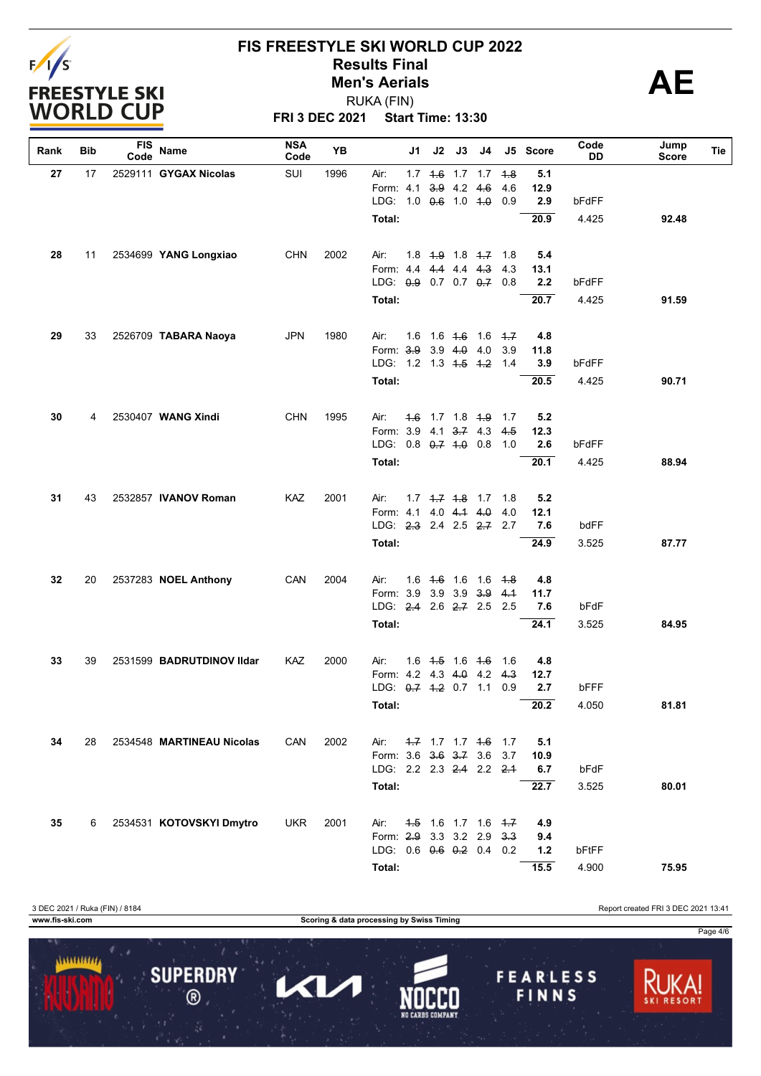

**FRI 3 DEC 2021 Start Time: 13:30**

| Rank | Bib | <b>FIS</b><br>Code | Name                      | <b>NSA</b><br>Code | <b>YB</b> |                                                   | J1 | J2                      | J3 | J4                                        |            | J5 Score    | Code<br>DD | Jump<br>Score | Tie |
|------|-----|--------------------|---------------------------|--------------------|-----------|---------------------------------------------------|----|-------------------------|----|-------------------------------------------|------------|-------------|------------|---------------|-----|
| 27   | 17  |                    | 2529111 GYGAX Nicolas     | SUI                | 1996      | Air:                                              |    |                         |    | $1.7$ $4.6$ $1.7$ $1.7$                   | 4.8        | 5.1         |            |               |     |
|      |     |                    |                           |                    |           | Form: 4.1                                         |    |                         |    | $3.9$ 4.2 4.6                             | 4.6        | 12.9        |            |               |     |
|      |     |                    |                           |                    |           | LDG: 1.0 0.6 1.0 1.0                              |    |                         |    |                                           | 0.9        | 2.9         | bFdFF      |               |     |
|      |     |                    |                           |                    |           | Total:                                            |    |                         |    |                                           |            | 20.9        | 4.425      | 92.48         |     |
| 28   | 11  |                    | 2534699 YANG Longxiao     | <b>CHN</b>         | 2002      | Air:                                              |    |                         |    | 1.8 <del>1.9</del> 1.8 <del>1.7</del> 1.8 |            | 5.4         |            |               |     |
|      |     |                    |                           |                    |           | Form: 4.4 4.4 4.4 4.3                             |    |                         |    |                                           | 4.3        | 13.1        |            |               |     |
|      |     |                    |                           |                    |           | LDG: $0.9$ 0.7 0.7 $0.7$                          |    |                         |    |                                           | 0.8        | 2.2         | bFdFF      |               |     |
|      |     |                    |                           |                    |           | Total:                                            |    |                         |    |                                           |            | 20.7        | 4.425      | 91.59         |     |
|      |     |                    |                           |                    |           |                                                   |    |                         |    |                                           |            |             |            |               |     |
| 29   | 33  |                    | 2526709 TABARA Naoya      | <b>JPN</b>         | 1980      | Air:                                              |    |                         |    | $1.6$ 1.6 $4.6$ 1.6 $4.7$                 |            | 4.8         |            |               |     |
|      |     |                    |                           |                    |           | Form: 3.9                                         |    | 3.9 $4.0$               |    | 4.0                                       | 3.9        | 11.8        |            |               |     |
|      |     |                    |                           |                    |           | LDG: 1.2 1.3 4.5 4.2                              |    |                         |    |                                           | 1.4        | 3.9         | bFdFF      |               |     |
|      |     |                    |                           |                    |           | Total:                                            |    |                         |    |                                           |            | 20.5        | 4.425      | 90.71         |     |
| 30   | 4   |                    | 2530407 WANG Xindi        | <b>CHN</b>         | 1995      | Air:                                              |    |                         |    | $1.6$ 1.7 1.8 $1.9$                       | 1.7        | 5.2         |            |               |     |
|      |     |                    |                           |                    |           | Form: 3.9 4.1 3.7 4.3                             |    |                         |    |                                           | 4.5        | 12.3        |            |               |     |
|      |     |                    |                           |                    |           | LDG: 0.8 0.7 1.0 0.8 1.0                          |    |                         |    |                                           |            | 2.6         | bFdFF      |               |     |
|      |     |                    |                           |                    |           | Total:                                            |    |                         |    |                                           |            | 20.1        | 4.425      | 88.94         |     |
| 31   | 43  |                    | 2532857 IVANOV Roman      | KAZ                | 2001      | Air:                                              |    |                         |    | $1.7$ $4.7$ $4.8$ $1.7$                   | 1.8        | 5.2         |            |               |     |
|      |     |                    |                           |                    |           | Form: 4.1 4.0 4.1 4.0                             |    |                         |    |                                           | 4.0        | 12.1        |            |               |     |
|      |     |                    |                           |                    |           | LDG: 2.3 2.4 2.5 2.7 2.7                          |    |                         |    |                                           |            | 7.6         | bdFF       |               |     |
|      |     |                    |                           |                    |           | Total:                                            |    |                         |    |                                           |            | 24.9        | 3.525      | 87.77         |     |
| 32   | 20  |                    | 2537283 NOEL Anthony      | CAN                | 2004      | Air:                                              |    |                         |    | 1.6 4.6 1.6 1.6 4.8                       |            | 4.8         |            |               |     |
|      |     |                    |                           |                    |           | Form: 3.9 3.9 3.9 3.9                             |    |                         |    |                                           | 4.1        | 11.7        |            |               |     |
|      |     |                    |                           |                    |           | LDG: 2.4 2.6 2.7 2.5 2.5                          |    |                         |    |                                           |            | 7.6         | bFdF       |               |     |
|      |     |                    |                           |                    |           | Total:                                            |    |                         |    |                                           |            | 24.1        | 3.525      | 84.95         |     |
|      |     |                    |                           |                    |           |                                                   |    |                         |    |                                           |            |             |            |               |     |
| 33   | 39  |                    | 2531599 BADRUTDINOV Ildar | KAZ                | 2000      | Air:<br>Form: 4.2 4.3 4.0                         |    | $1.6$ $4.5$ $1.6$ $4.6$ |    | 4.2                                       | 1.6<br>4.3 | 4.8<br>12.7 |            |               |     |
|      |     |                    |                           |                    |           | LDG: $0.7$ 4.2 0.7 1.1                            |    |                         |    |                                           | 0.9        | 2.7         | bFFF       |               |     |
|      |     |                    |                           |                    |           | Total:                                            |    |                         |    |                                           |            | 20.2        | 4.050      | 81.81         |     |
|      |     |                    |                           |                    |           |                                                   |    |                         |    |                                           |            |             |            |               |     |
| 34   | 28  |                    | 2534548 MARTINEAU Nicolas | CAN                | 2002      | Air:                                              |    |                         |    | $1.7$ 1.7 1.7 $1.6$ 1.7                   |            | 5.1         |            |               |     |
|      |     |                    |                           |                    |           | Form: 3.6 3.6 3.7 3.6<br>LDG: 2.2 2.3 2.4 2.2 2.1 |    |                         |    |                                           | 3.7        | 10.9<br>6.7 | bFdF       |               |     |
|      |     |                    |                           |                    |           |                                                   |    |                         |    |                                           |            |             |            |               |     |
|      |     |                    |                           |                    |           | Total:                                            |    |                         |    |                                           |            | 22.7        | 3.525      | 80.01         |     |
| 35   | 6   |                    | 2534531 KOTOVSKYI Dmytro  | <b>UKR</b>         | 2001      | Air:                                              |    |                         |    | 4.5 1.6 1.7 1.6 4.7                       |            | 4.9         |            |               |     |
|      |     |                    |                           |                    |           | Form: 2.9 3.3 3.2 2.9                             |    |                         |    |                                           | 3.3        | 9.4         |            |               |     |
|      |     |                    |                           |                    |           | LDG: 0.6 0.6 0.2 0.4 0.2                          |    |                         |    |                                           |            | 1.2         | bFtFF      |               |     |
|      |     |                    |                           |                    |           | Total:                                            |    |                         |    |                                           |            | 15.5        | 4.900      | 75.95         |     |

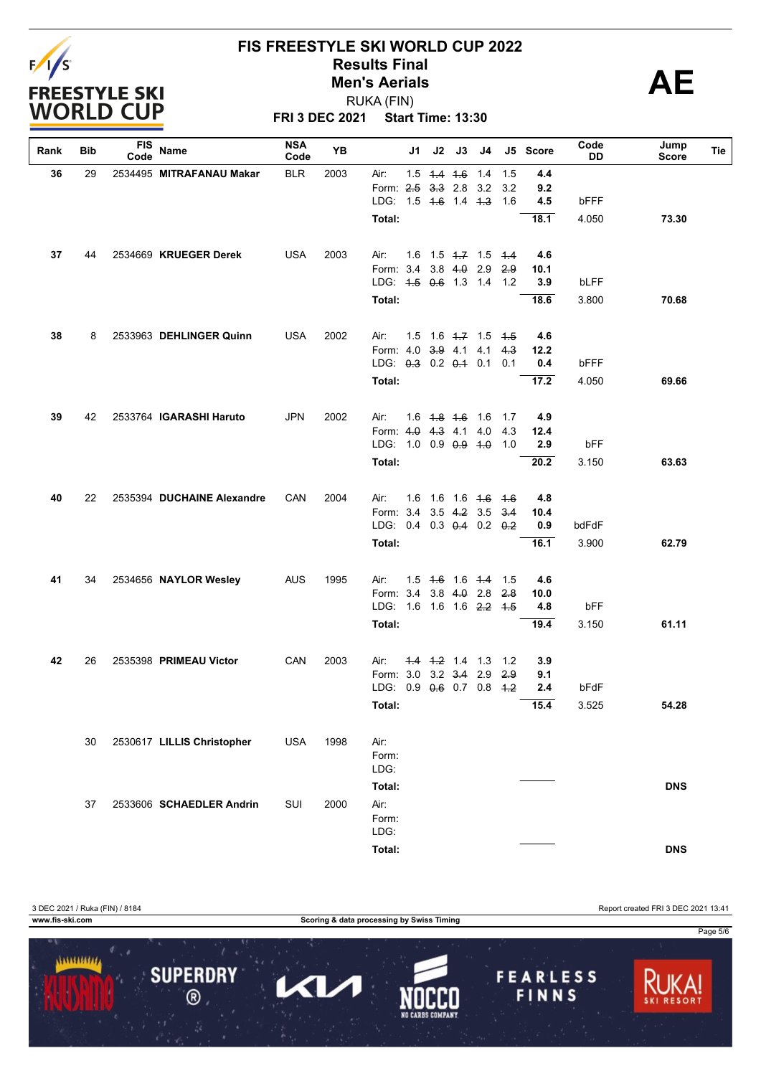

**FRI 3 DEC 2021 Start Time: 13:30**

| Rank | Bib | FIS<br>Code | Name                       | <b>NSA</b><br>Code | <b>YB</b> |                                | J1  | J2 | J3                      | J4                        |     | J5 Score    | Code<br>DD | Jump<br>Score | Tie |
|------|-----|-------------|----------------------------|--------------------|-----------|--------------------------------|-----|----|-------------------------|---------------------------|-----|-------------|------------|---------------|-----|
| 36   | 29  |             | 2534495 MITRAFANAU Makar   | <b>BLR</b>         | 2003      | Air:                           |     |    | $1.5$ 4.4 4.6 1.4       |                           | 1.5 | 4.4         |            |               |     |
|      |     |             |                            |                    |           | Form: 2.5 3.3 2.8 3.2          |     |    |                         |                           | 3.2 | 9.2         |            |               |     |
|      |     |             |                            |                    |           | LDG: 1.5 4.6 1.4 4.3           |     |    |                         |                           | 1.6 | 4.5         | bFFF       |               |     |
|      |     |             |                            |                    |           | Total:                         |     |    |                         |                           |     | 18.1        | 4.050      | 73.30         |     |
| 37   | 44  |             | 2534669 KRUEGER Derek      | <b>USA</b>         | 2003      | Air:                           |     |    |                         | $1.6$ 1.5 4.7 1.5 4.4     |     | 4.6         |            |               |     |
|      |     |             |                            |                    |           | Form: 3.4 3.8 4.0 2.9 2.9      |     |    |                         |                           |     | 10.1        |            |               |     |
|      |     |             |                            |                    |           | LDG: 4.5 0.6 1.3 1.4 1.2       |     |    |                         |                           |     | 3.9         | bLFF       |               |     |
|      |     |             |                            |                    |           | Total:                         |     |    |                         |                           |     | 18.6        | 3.800      | 70.68         |     |
| 38   | 8   |             | 2533963 DEHLINGER Quinn    | <b>USA</b>         | 2002      | Air:                           |     |    |                         | $1.5$ 1.6 $4.7$ 1.5 $4.5$ |     | 4.6         |            |               |     |
|      |     |             |                            |                    |           | Form: 4.0 3.9 4.1 4.1          |     |    |                         |                           | 4.3 | 12.2        |            |               |     |
|      |     |             |                            |                    |           | LDG: 0.3 0.2 0.4 0.1           |     |    |                         |                           | 0.1 | 0.4         | bFFF       |               |     |
|      |     |             |                            |                    |           | Total:                         |     |    |                         |                           |     | 17.2        | 4.050      | 69.66         |     |
| 39   | 42  |             | 2533764 IGARASHI Haruto    | <b>JPN</b>         | 2002      | Air:                           |     |    | $1.6$ $4.8$ $4.6$ $1.6$ |                           | 1.7 |             |            |               |     |
|      |     |             |                            |                    |           | Form: 4.0 4.3 4.1 4.0 4.3      |     |    |                         |                           |     | 4.9<br>12.4 |            |               |     |
|      |     |             |                            |                    |           | LDG: 1.0 0.9 0.9 1.0 1.0       |     |    |                         |                           |     | 2.9         | bFF        |               |     |
|      |     |             |                            |                    |           | <b>Total:</b>                  |     |    |                         |                           |     | 20.2        | 3.150      | 63.63         |     |
|      |     |             |                            |                    |           |                                |     |    |                         |                           |     |             |            |               |     |
| 40   | 22  |             | 2535394 DUCHAINE Alexandre | CAN                | 2004      | Air:                           | 1.6 |    |                         | 1.6 1.6 4.6 4.6           |     | 4.8         |            |               |     |
|      |     |             |                            |                    |           | Form: 3.4 3.5 4.2 3.5          |     |    |                         |                           | 3.4 | 10.4        |            |               |     |
|      |     |             |                            |                    |           | LDG: $0.4$ 0.3 $0.4$ 0.2 $0.2$ |     |    |                         |                           |     | 0.9         | bdFdF      |               |     |
|      |     |             |                            |                    |           | Total:                         |     |    |                         |                           |     | 16.1        | 3.900      | 62.79         |     |
| 41   | 34  |             | 2534656 NAYLOR Wesley      | <b>AUS</b>         | 1995      | Air:                           |     |    |                         | 1.5 4.6 1.6 4.4 1.5       |     | 4.6         |            |               |     |
|      |     |             |                            |                    |           | Form: 3.4 3.8 4.0 2.8          |     |    |                         |                           | 2.8 | 10.0        |            |               |     |
|      |     |             |                            |                    |           | LDG: 1.6 1.6 1.6 2.2 4.5       |     |    |                         |                           |     | 4.8         | bFF        |               |     |
|      |     |             |                            |                    |           | <b>Total:</b>                  |     |    |                         |                           |     | 19.4        | 3.150      | 61.11         |     |
| 42   | 26  |             | 2535398 PRIMEAU Victor     | CAN                | 2003      | Air:                           |     |    | $1.4$ $1.2$ 1.4 1.3     |                           | 1.2 | 3.9         |            |               |     |
|      |     |             |                            |                    |           | Form: 3.0 3.2 3.4 2.9          |     |    |                         |                           | 2.9 | 9.1         |            |               |     |
|      |     |             |                            |                    |           | LDG: 0.9 0.6 0.7 0.8 4.2       |     |    |                         |                           |     | 2.4         | bFdF       |               |     |
|      |     |             |                            |                    |           | Total:                         |     |    |                         |                           |     | 15.4        | 3.525      | 54.28         |     |
|      | 30  |             | 2530617 LILLIS Christopher | <b>USA</b>         | 1998      | Air:                           |     |    |                         |                           |     |             |            |               |     |
|      |     |             |                            |                    |           | Form:                          |     |    |                         |                           |     |             |            |               |     |
|      |     |             |                            |                    |           | LDG:                           |     |    |                         |                           |     |             |            |               |     |
|      |     |             |                            |                    |           | Total:                         |     |    |                         |                           |     |             |            | <b>DNS</b>    |     |
|      | 37  |             | 2533606 SCHAEDLER Andrin   | SUI                | 2000      | Air:                           |     |    |                         |                           |     |             |            |               |     |
|      |     |             |                            |                    |           | Form:<br>LDG:                  |     |    |                         |                           |     |             |            |               |     |
|      |     |             |                            |                    |           | Total:                         |     |    |                         |                           |     |             |            | <b>DNS</b>    |     |
|      |     |             |                            |                    |           |                                |     |    |                         |                           |     |             |            |               |     |